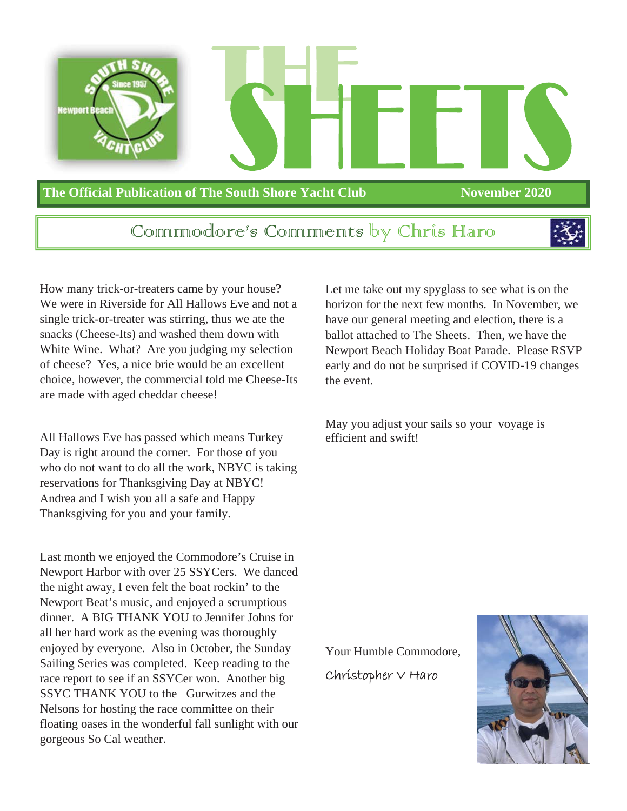

## Communiodore's Communicats by Chris Haro



How many trick-or-treaters came by your house? We were in Riverside for All Hallows Eve and not a single trick-or-treater was stirring, thus we ate the snacks (Cheese-Its) and washed them down with White Wine. What? Are you judging my selection of cheese? Yes, a nice brie would be an excellent choice, however, the commercial told me Cheese-Its are made with aged cheddar cheese!

All Hallows Eve has passed which means Turkey Day is right around the corner. For those of you who do not want to do all the work, NBYC is taking reservations for Thanksgiving Day at NBYC! Andrea and I wish you all a safe and Happy Thanksgiving for you and your family.

Last month we enjoyed the Commodore's Cruise in Newport Harbor with over 25 SSYCers. We danced the night away, I even felt the boat rockin' to the Newport Beat's music, and enjoyed a scrumptious dinner. A BIG THANK YOU to Jennifer Johns for all her hard work as the evening was thoroughly enjoyed by everyone. Also in October, the Sunday Sailing Series was completed. Keep reading to the race report to see if an SSYCer won. Another big SSYC THANK YOU to the Gurwitzes and the Nelsons for hosting the race committee on their floating oases in the wonderful fall sunlight with our gorgeous So Cal weather.

Let me take out my spyglass to see what is on the horizon for the next few months. In November, we have our general meeting and election, there is a ballot attached to The Sheets. Then, we have the Newport Beach Holiday Boat Parade. Please RSVP early and do not be surprised if COVID-19 changes the event.

May you adjust your sails so your voyage is efficient and swift!

Your Humble Commodore,  $Chr$ *istopher*  $\vee$  *Haro* 

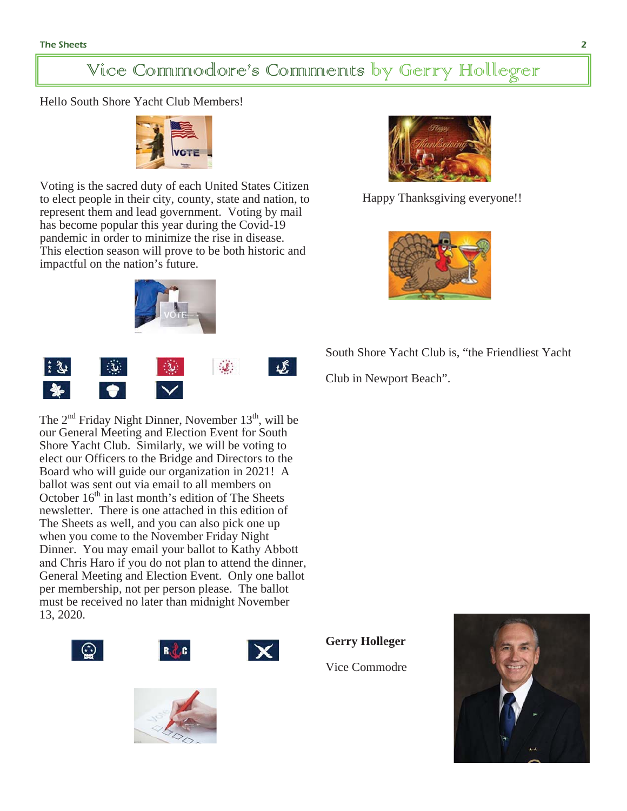## Vice Commodore's Comments by Gerry Holleger

Hello South Shore Yacht Club Members!



Voting is the sacred duty of each United States Citizen to elect people in their city, county, state and nation, to represent them and lead government. Voting by mail has become popular this year during the Covid-19 pandemic in order to minimize the rise in disease. This election season will prove to be both historic and impactful on the nation's future.





The  $2<sup>nd</sup>$  Friday Night Dinner, November  $13<sup>th</sup>$ , will be our General Meeting and Election Event for South Shore Yacht Club. Similarly, we will be voting to elect our Officers to the Bridge and Directors to the Board who will guide our organization in 2021! A ballot was sent out via email to all members on October  $16<sup>th</sup>$  in last month's edition of The Sheets newsletter. There is one attached in this edition of The Sheets as well, and you can also pick one up when you come to the November Friday Night Dinner. You may email your ballot to Kathy Abbott and Chris Haro if you do not plan to attend the dinner, General Meeting and Election Event. Only one ballot per membership, not per person please. The ballot must be received no later than midnight November 13, 2020.













Happy Thanksgiving everyone!!

South Shore Yacht Club is, "the Friendliest Yacht

Club in Newport Beach".

**Gerry Holleger**

Vice Commodre

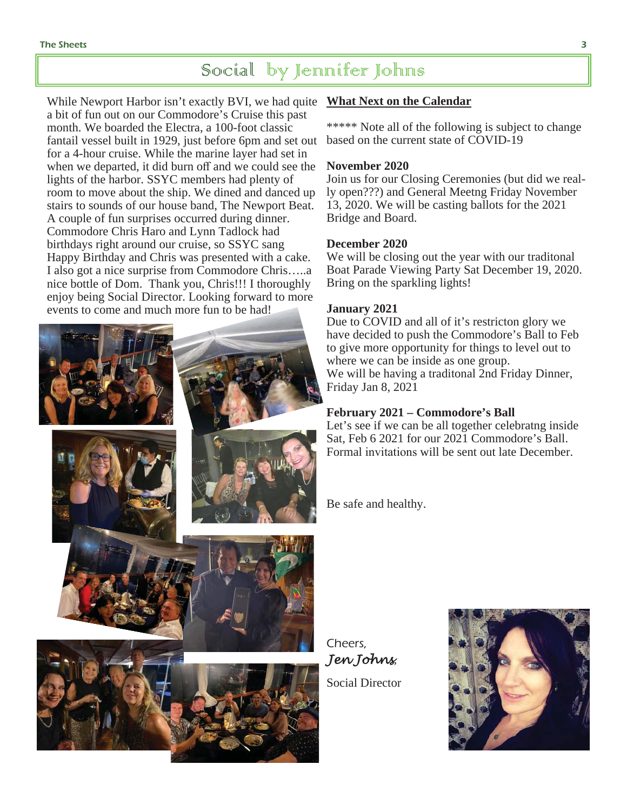## Social by Jennifer Johns

While Newport Harbor isn't exactly BVI, we had quite **What Next on the Calendar** a bit of fun out on our Commodore's Cruise this past month. We boarded the Electra, a 100-foot classic fantail vessel built in 1929, just before 6pm and set out for a 4-hour cruise. While the marine layer had set in when we departed, it did burn off and we could see the lights of the harbor. SSYC members had plenty of room to move about the ship. We dined and danced up stairs to sounds of our house band, The Newport Beat. A couple of fun surprises occurred during dinner. Commodore Chris Haro and Lynn Tadlock had birthdays right around our cruise, so SSYC sang Happy Birthday and Chris was presented with a cake. I also got a nice surprise from Commodore Chris…..a nice bottle of Dom. Thank you, Chris!!! I thoroughly enjoy being Social Director. Looking forward to more events to come and much more fun to be had!



\*\*\*\*\* Note all of the following is subject to change based on the current state of COVID-19

#### **November 2020**

Join us for our Closing Ceremonies (but did we really open???) and General Meetng Friday November 13, 2020. We will be casting ballots for the 2021 Bridge and Board.

#### **December 2020**

We will be closing out the year with our traditonal Boat Parade Viewing Party Sat December 19, 2020. Bring on the sparkling lights!

#### **January 2021**

Due to COVID and all of it's restricton glory we have decided to push the Commodore's Ball to Feb to give more opportunity for things to level out to where we can be inside as one group. We will be having a traditonal 2nd Friday Dinner, Friday Jan 8, 2021

#### **February 2021 – Commodore's Ball**

Let's see if we can be all together celebratng inside Sat, Feb 6 2021 for our 2021 Commodore's Ball. Formal invitations will be sent out late December.

Be safe and healthy.

Cheers, *Jen Johns*, Social Director

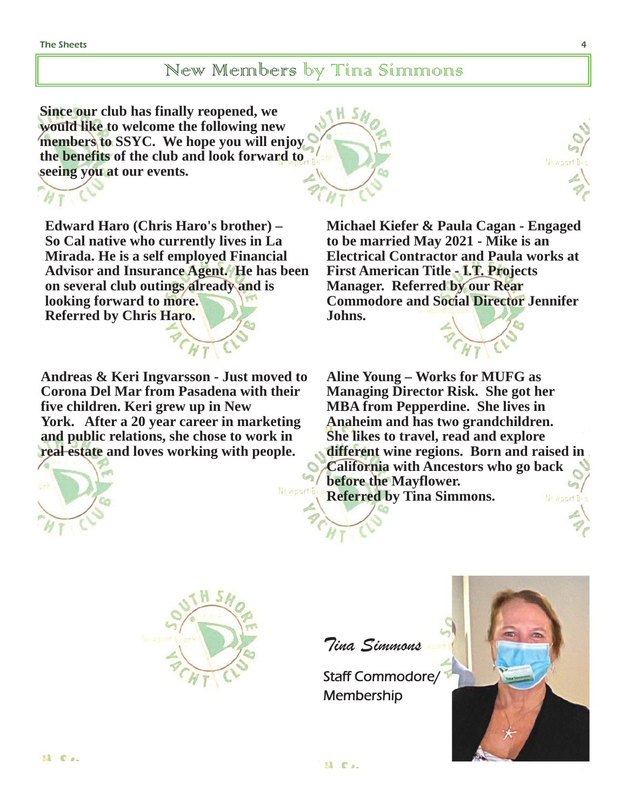## New Members by Tina Simmons

**Since our club has finally reopened, we would like to welcome the following new members to SSYC. We hope you will enjoy the benefits of the club and look forward to seeing you at our events.** 



**Edward Haro (Chris Haro's brother) – So Cal native who currently lives in La Mirada. He is a self employed Financial Advisor and Insurance Agent. He has been on several club outings already and is looking forward to more. Referred by Chris Haro.** 

**Andreas & Keri Ingvarsson - Just moved to Corona Del Mar from Pasadena with their five children. Keri grew up in New York. After a 20 year career in marketing and public relations, she chose to work in real estate and loves working with people.** 



Newport Be

**Michael Kiefer & Paula Cagan - Engaged to be married May 2021 - Mike is an Electrical Contractor and Paula works at First American Title - I.T. Projects Manager. Referred by our Rear Commodore and Social Director Jennifer Johns.** 

**Aline Young – Works for MUFG as Managing Director Risk. She got her MBA from Pepperdine. She lives in Anaheim and has two grandchildren. She likes to travel, read and explore different wine regions. Born and raised in California with Ancestors who go back before the Mayflower. Referred by Tina Simmons.**  *Munport B* 



Tina Simmons

Staff Commodore/ **Membership** 

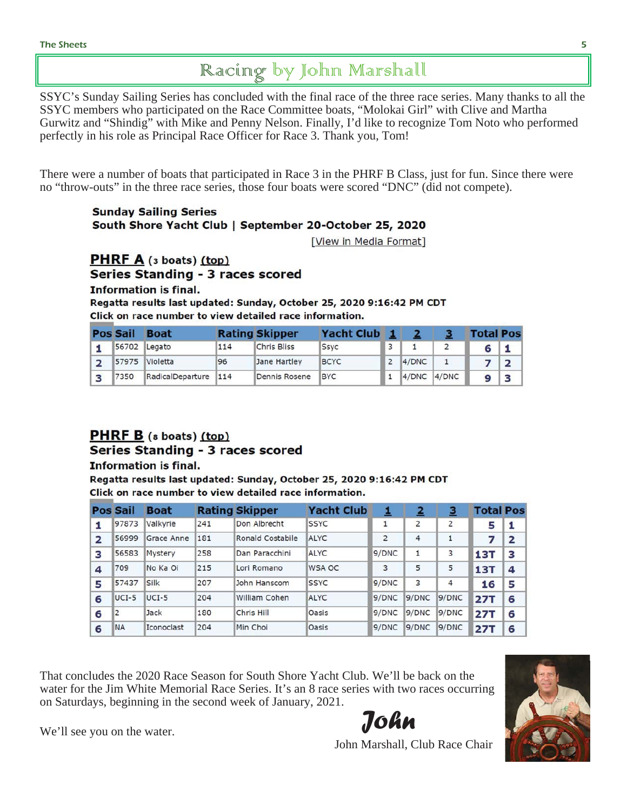## Racing by John Marshall

SSYC's Sunday Sailing Series has concluded with the final race of the three race series. Many thanks to all the SSYC members who participated on the Race Committee boats, "Molokai Girl" with Clive and Martha Gurwitz and "Shindig" with Mike and Penny Nelson. Finally, I'd like to recognize Tom Noto who performed perfectly in his role as Principal Race Officer for Race 3. Thank you, Tom!

There were a number of boats that participated in Race 3 in the PHRF B Class, just for fun. Since there were no "throw-outs" in the three race series, those four boats were scored "DNC" (did not compete).

#### **Sunday Sailing Series** South Shore Yacht Club | September 20-October 25, 2020

[View in Media Format]

#### **PHRF A**  $(s \text{ boats})$   $(top)$ **Series Standing - 3 races scored**

**Information is final.** 

Regatta results last updated: Sunday, October 25, 2020 9:16:42 PM CDT Click on race number to view detailed race information.

| <b>Pos Sail</b> | <b>Boat</b>      |     | <b>Rating Skipper</b> | <b>Yacht Club</b> |                 | <b>Total Pos</b> |  |
|-----------------|------------------|-----|-----------------------|-------------------|-----------------|------------------|--|
|                 | 56702 Legato     | 114 | <b>Chris Bliss</b>    | <b>Ssyc</b>       |                 |                  |  |
|                 | 57975 Violetta   | 96  | Jane Hartley          | <b>BCYC</b>       | 4/DNC           |                  |  |
| 7350            | RadicalDeparture | 114 | Dennis Rosene         | <b>BYC</b>        | $4/DNC$ $4/DNC$ |                  |  |

### PHRF B (s boats) (top)

#### Series Standing - 3 races scored

**Information is final.** 

Regatta results last updated: Sunday, October 25, 2020 9:16:42 PM CDT Click on race number to view detailed race information.

|   | <b>Pos Sail</b> | <b>Boat</b> |     | <b>Rating Skipper</b>   | <b>Yacht Club</b> | 1              | $\overline{\mathbf{2}}$ | 3              | <b>Total Pos</b> |                |
|---|-----------------|-------------|-----|-------------------------|-------------------|----------------|-------------------------|----------------|------------------|----------------|
| 1 | 97873           | Valkyrie    | 241 | Don Albrecht            | <b>SSYC</b>       | ⊥              | $\overline{2}$          | $\overline{2}$ | 5                | я              |
| 2 | 56999           | Grace Anne  | 181 | <b>Ronald Costabile</b> | <b>ALYC</b>       | $\overline{2}$ | 4                       |                | 7                | $\overline{2}$ |
| з | 56583           | Mystery     | 258 | Dan Paracchini          | ALYC              | 9/DNC          | 1                       | 3              | <b>13T</b>       | з              |
| 4 | 709             | No Ka Oi    | 215 | Lori Romano             | WSA OC            | 3              | 5                       | 5              | <b>13T</b>       | 4              |
| 5 | 57437           | Silk        | 207 | John Hanscom            | <b>SSYC</b>       | 9/DNC          | 3                       | 4              | 16               | 5              |
| 6 | $UCI-5$         | $UCI-5$     | 204 | William Cohen           | <b>ALYC</b>       | 9/DNC          | 9/DNC                   | 9/DNC          | <b>27T</b>       | 6              |
| 6 | 2               | Jack        | 180 | Chris Hill              | Oasis             | 9/DNC          | 9/DNC                   | 9/DNC          | <b>27T</b>       | 6              |
| 6 | <b>NA</b>       | Iconoclast  | 204 | Min Choi                | Oasis             | 9/DNC          | 9/DNC                   | 9/DNC          | <b>27T</b>       | 6              |

That concludes the 2020 Race Season for South Shore Yacht Club. We'll be back on the water for the Jim White Memorial Race Series. It's an 8 race series with two races occurring on Saturdays, beginning in the second week of January, 2021.

*John*



We'll see you on the water.

John Marshall, Club Race Chair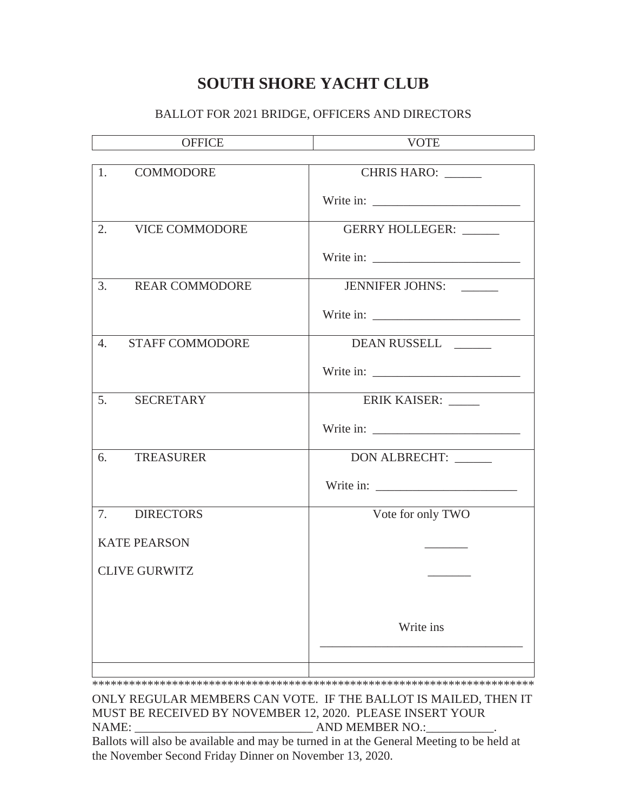### **SOUTH SHORE YACHT CLUB**

#### BALLOT FOR 2021 BRIDGE, OFFICERS AND DIRECTORS

| <b>OFFICE</b>                | <b>VOTE</b>                                                  |
|------------------------------|--------------------------------------------------------------|
| <b>COMMODORE</b><br>1.       | CHRIS HARO: ______                                           |
|                              | Write in: $\frac{1}{\sqrt{1-\frac{1}{2}} \cdot \frac{1}{2}}$ |
| 2. VICE COMMODORE            | GERRY HOLLEGER: _____                                        |
|                              | Write in: $\frac{1}{\sqrt{1-\frac{1}{2}} \cdot \frac{1}{2}}$ |
| 3. REAR COMMODORE            | JENNIFER JOHNS:                                              |
|                              |                                                              |
| <b>STAFF COMMODORE</b><br>4. | DEAN RUSSELL _____                                           |
|                              |                                                              |
| 5. SECRETARY                 | ERIK KAISER:                                                 |
|                              |                                                              |
| 6.<br><b>TREASURER</b>       | DON ALBRECHT: _____                                          |
|                              |                                                              |
| 7. DIRECTORS                 | Vote for only TWO                                            |
| <b>KATE PEARSON</b>          | ________                                                     |
| <b>CLIVE GURWITZ</b>         |                                                              |
|                              |                                                              |
|                              | Write ins                                                    |
|                              |                                                              |

\*\*\*\*\*\*\*\*\*\*\*\*\*\*\*\*\*\*\*\*\*\*\*\*\*\*\*\*\*\*\*\*\*\*\*\*\*\*\*\*\*\*\*\*\*\*\*\*\*\*\*\*\*\*\*\*\*\*\*\*\*\*\*\*\*\*\*\*\*\*\*\*

ONLY REGULAR MEMBERS CAN VOTE. IF THE BALLOT IS MAILED, THEN IT MUST BE RECEIVED BY NOVEMBER 12, 2020. PLEASE INSERT YOUR NAME: \_\_\_\_\_\_\_\_\_\_\_\_\_\_\_\_\_\_\_\_\_\_\_\_\_\_\_\_\_ AND MEMBER NO.:\_\_\_\_\_\_\_\_\_\_\_.

Ballots will also be available and may be turned in at the General Meeting to be held at the November Second Friday Dinner on November 13, 2020.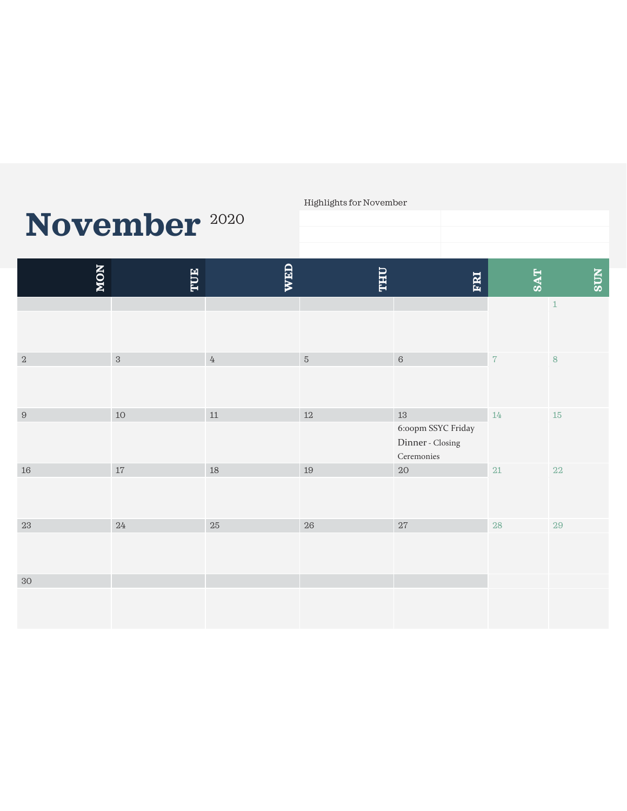# **November** <sup>2020</sup>

#### Highlights for November

| <b>NON</b> | TUE        | <b>WED</b>       | <b>THU</b> | FRI                                                                     | <b>TAS</b>     | <b>SUN</b>  |
|------------|------------|------------------|------------|-------------------------------------------------------------------------|----------------|-------------|
|            |            |                  |            |                                                                         |                | $\,1\,$     |
| $\sqrt{2}$ | $\sqrt{3}$ | $\ensuremath{4}$ | $\sqrt{5}$ | $\,$ 6 $\,$                                                             | $\overline{7}$ | $\,$ 8 $\,$ |
| $\,9$      | $10\,$     | $11\,$           | $12\,$     | $13\,$<br>6:00pm SSYC Friday<br>Dinner - Closing<br>$\mbox{Ceremonies}$ | $14\,$         | $15\,$      |
| $16\,$     | $17\,$     | $18\,$           | $19\,$     | $20\,$                                                                  | $21\,$         | $22\,$      |
| $23\,$     | $24\,$     | $25\,$           | $26\,$     | $27\,$                                                                  | $28\,$         | $29\,$      |
| $30\,$     |            |                  |            |                                                                         |                |             |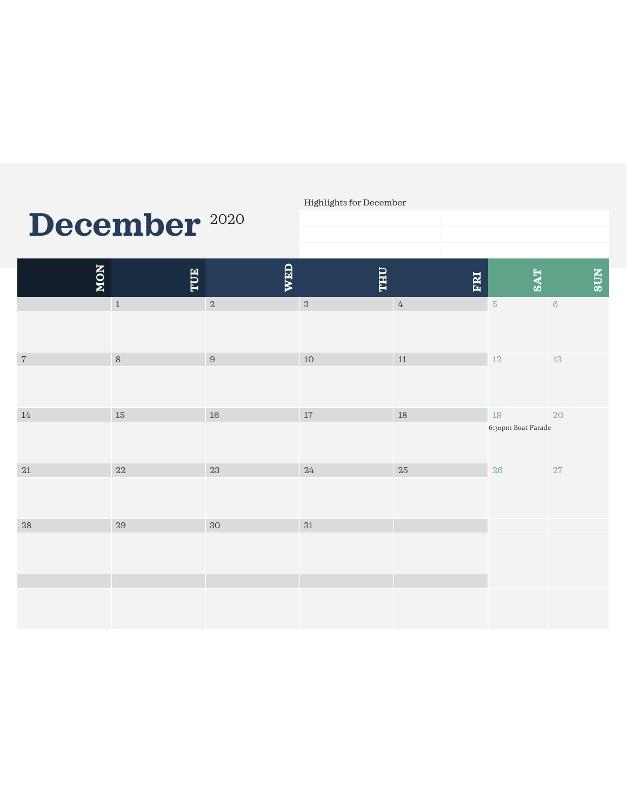# **December** <sup>2020</sup>

Highlights for December

| <b>NON</b>  | TUE         | WED    | <b>THU</b> | FRI              | <b>SAT</b>                   | <b>NINS</b> |
|-------------|-------------|--------|------------|------------------|------------------------------|-------------|
|             | $\,$ 1 $\,$ | $\,2$  | $\,3$      | $\ensuremath{4}$ | $\sqrt{5}$                   | $\,6\,$     |
| $\,7$       | $\,8\,$     | $\,9$  | $10\,$     | $11\,$           | $12\,$                       | $13\,$      |
| $14\,$      | $15\,$      | $16\,$ | $17\,$     | $18\,$           | $19\,$<br>6:30pm Boat Parade | $20\,$      |
| $21\,$      | $22\,$      | $23\,$ | $24\,$     | $25\,$           | $26\,$                       | 27          |
| $\sqrt{28}$ | $29\,$      | 30     | $31\,$     |                  |                              |             |
|             |             |        |            |                  |                              |             |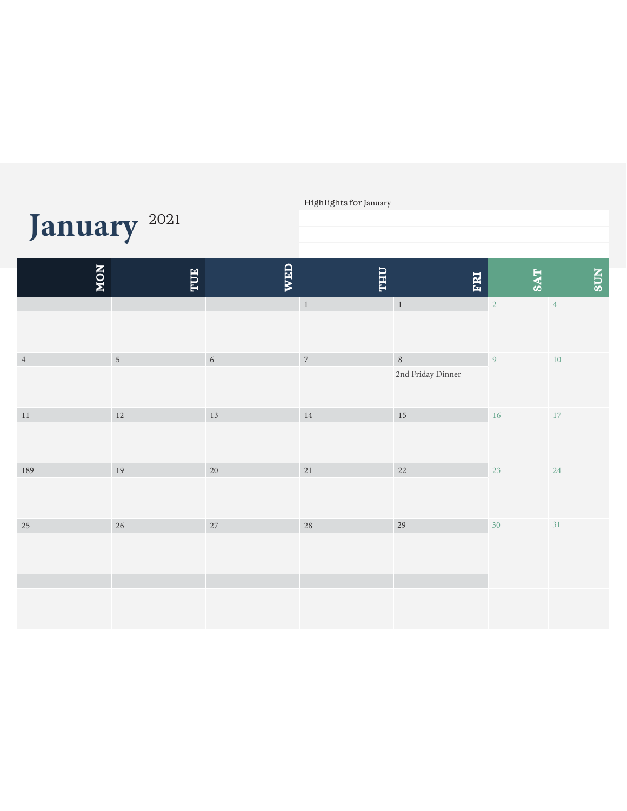| January <sup>2021</sup> |            |            | Highlights for January   |                             |                |            |
|-------------------------|------------|------------|--------------------------|-----------------------------|----------------|------------|
| NON                     | TUE        | <b>WED</b> | <b>THU</b>               | FRI                         | <b>SAT</b>     | <b>SUN</b> |
|                         |            |            | $\,$ 1                   | $\,1\,$                     | $\sqrt{2}$     | $\sqrt{4}$ |
| $\,4$                   | $\sqrt{5}$ | $\sqrt{6}$ | $\overline{\phantom{a}}$ | $\, 8$<br>2nd Friday Dinner | $\overline{9}$ | $10\,$     |
| $11\,$                  | 12         | 13         | $14\,$                   | $15\,$                      | 16             | $17\,$     |
| 189                     | 19         | $20\,$     | $21\,$                   | $22\,$                      | 23             | 24         |
| 25                      | 26         | 27         | 28                       | 29                          | 30             | 31         |
|                         |            |            |                          |                             |                |            |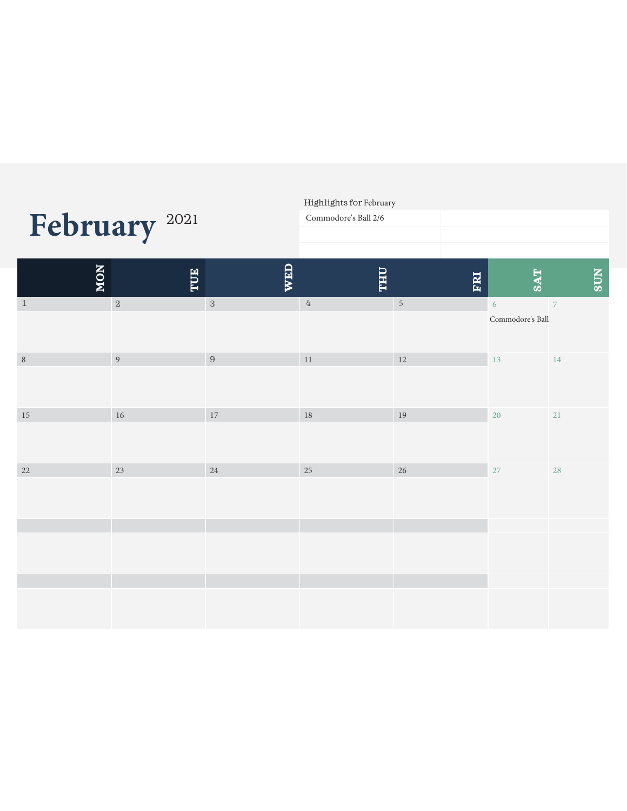|         |                          |            | Highlights for February<br>Commodore's Ball 2/6 |             |                       |                |
|---------|--------------------------|------------|-------------------------------------------------|-------------|-----------------------|----------------|
|         | February <sup>2021</sup> |            |                                                 |             |                       |                |
| NON     | TUE                      | <b>WED</b> | <b>THU</b>                                      | ERI         | <b>SAT</b>            | <b>NDS</b>     |
| $1\,$   | $\,2$                    | $\,3$      | $\ensuremath{4}$                                | $\,$ 5 $\,$ | 6<br>Commodore's Ball | $\overline{7}$ |
| $\,8\,$ | $\overline{9}$           | $\, 9$     | $11\,$                                          | $12\,$      | 13                    | 14             |
| $15\,$  | $16\,$                   | $17\,$     | 18                                              | 19          | 20                    | 21             |
| $22\,$  | $23\,$                   | $24\,$     | $25\,$                                          | $26\,$      | 27                    | 28             |
|         |                          |            |                                                 |             |                       |                |
|         |                          |            |                                                 |             |                       |                |